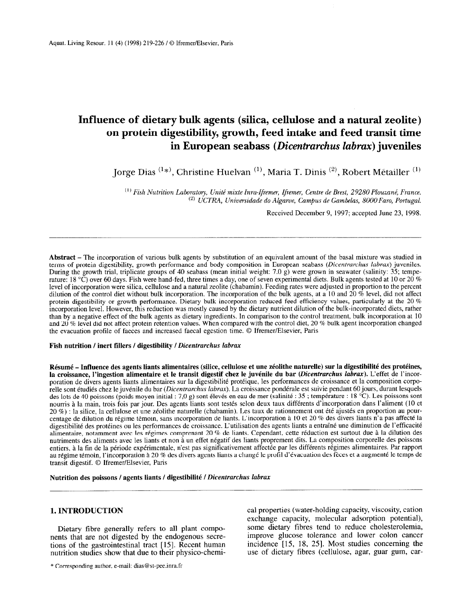# Influence of dietary bulk agents (silica, cellulose and a natural zeolite) on protein digestibility, growth, feed intake and feed transit time in European seabass (Dicentrarchus labrax) juveniles

Jorge Dias  $(1*)$ , Christine Huelvan  $(1)$ , Maria T. Dinis  $(2)$ , Robert Métailler  $(1)$ 

 $^{(1)}$  Fish Nutrition Laboratory, Unité mixte Inra-Ifremer, Ifremer, Centre de Brest, 29280 Plouzané, France.  $^{(2)}$  UCTRA, Universidade do Algarve, Campus de Gambelas, 8000 Faro, Portugal.

Received December 9, 1997; accepted June 23, 1998.

Abstract – The incorporation of various bulk agents by substitution of an equivalent amount of the basal mixture was studied in terms of protein digestibility, growth performance and body composition in European seabass (Dicentrarchus labrax) juveniles. During the growth trial, triplicate groups of 40 seabass (mean initial weight: 7.0 g) were grown in seawater (salinity: 35; temperature: 18 °C) over 60 days. Fish were hand-fed, three times a day, one of seven experimental diets. Bulk agents tested at 10 or 20 % level of incorporation were silica, cellulose and a natural zeolite (chabamin). Feeding rates were adjusted in proportion to the percent dilution of the control diet without bulk incorporation. The incorporation of the bulk agents, at a 10 and 20 % level, did not affect protein digestibility or growth performance. Dietary bulk incorporation reduced feed efficiency values, particularly at the 20 % incorporation level. However, this reduction was mostly caused by the dietary nutrient dilution of the bulk-incorporated diets, rather than by a negative effect of the bulk agents as dietary ingredients. In comparison to the control treatment, bulk incorporation at 10 and 20 % level did not affect protein retention values. When compared with the control diet, 20 % bulk agent incorporation changed the evacuation profile of faeces and increased faecal egestion time. 0 Ifremer/Elsevier, Paris

### Fish nutrition / inert fillers / digestibility / Dicentrarchus labrax

Résumé – Influence des agents liants alimentaires (silice, cellulose et une zéolithe naturelle) sur la digestibilité des protéines, la croissance, l'ingestion alimentaire et le transit digestif chez le juvénile du bar (Dicentrarchus labrax). L'effet de l'incorporation de divers agents liants alimentaires sur la digestibilité protéique, les performances de croissance et la composition corporelle sont étudiés chez le juvénile du bar (Dicentrarchus labrax). La croissance pondérale est suivie pendant 60 jours, durant lesquels des lots de 40 poissons (poids moyen initial : 7,0 g) sont élevés en eau de mer (salinité : 35 ; température : 18 °C). Les poissons sont nourris à la main, trois fois par jour. Des agents liants sont testés selon deux taux différents d'incorporation dans l'aliment (10 et 20 %) : la silice, la cellulose et une zéolithe naturelle (chabamin). Les taux de rationnement ont été ajustés en proportion au pourcentage de dilution du régime témoin, sans incorporation de liants. L'incorporation à 10 et 20 % des divers liants n'a pas affecté la digestibilité des protéines ou les performances de croissance. L'utilisation des agents liants a entraîné une diminution de l'efficacité alimentaire, notamment avec les régimes comprenant 20 % de liants. Cependant, cette réduction est surtout due à la dilution des nutriments des aliments avec les liants et non à un effet négatif des liants proprement dits. La composition corporelle des poissons entiers, à la fin de la période expérimentale, n'est pas significativement affectée par les différents régimes alimentaires. Par rapport au rCgime tCmoin, l'incorporation a 20 % des divers agents liants a change le profl d'Cvacuation des f&es et a augment6 le temps de au regnne temom, Phicorporation a  $20\%$ 

Nutrition des poissons / agents liants / digestibilité / Dicentrarchus labrax

# 1. INTRODUCTION

Dietary fibre generally refers to all plant compo-Dietary note generally telers to an plant compothe gastroint and the gastrointer  $\frac{1}{2}$ . Recent human tractational tractational tractational tractation of  $\frac{1}{2}$ . tions of the gastrointestinal tract [15]. Recent human nutrition studies show that due to their physico-chemi-

\* Corresponding author, e-mail: dias@st-pee.inra.fr

cal properties (water-holding capacity, viscosity, cation exchange capacity, molecular adsorption potential), some dietary fibres tend to reduce cholesterolemia, some given y mores tenu to requee enoresterorema,  $\frac{1}{2}$  increase tolerance and lower color cancerning the studies concerning the studies concerning the studies of the studies of the studies of the studies of the studies of the studies of the studies of the studies of incidence  $[15, 18, 25]$ . Most studies concerning the use of dietary fibres (cellulose, agar, guar gum, car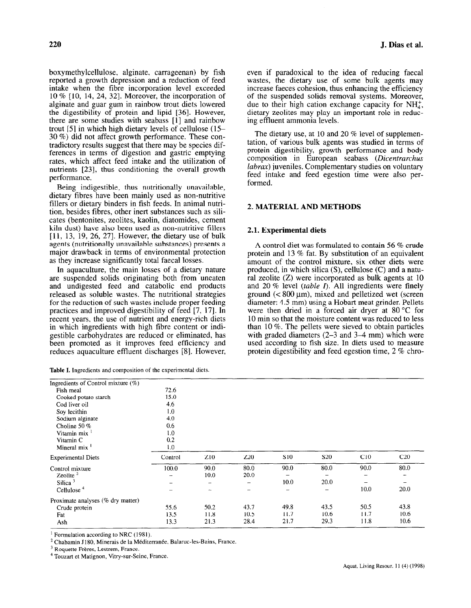boxymethylcellulose, alginate, carrageenan) by fish reported a growth depression and a reduction of feed intake when the fibre incorporation level exceeded 10 % [lo, 14, 24, 321. Moreover, the incorporation of alginate and guar gum in rainbow trout diets lowered the digestibility of protein and lipid [36]. However, there are some studies with seabass [l] and rainbow trout [5] in which high dietary levels of cellulose (15- 30 %) did not affect growth performance. These contradictory results suggest that there may be species differences in terms of digestion and gastric emptying rates, which affect feed intake and the utilization of nutrients [23], thus conditioning the overall growth performance.

Being indigestible, thus nutritionally unavailable, dietary fibres have been mainly used as non-nutritive fillers or dietary binders in fish feeds. In animal nutrition, besides fibres, other inert substances such as silicates (bentonites, zeolites, kaolin, diatomides, cement kiln dust) have also been used as non-nutritive fillers [ll, 13, 19, 26, 271. However, the dietary use of bulk agents (nutritionally unavailable substances) presents a major drawback in terms of environmental protection as they increase significantly total faecal losses.

In aquaculture, the main losses of a dietary nature are suspended solids originating both from uneaten and undigested feed and catabolic end products released as soluble wastes. The nutritional strategies for the reduction of such wastes include proper feeding practices and improved digestibility of feed [7, 171. In recent years, the use of nutrient and energy-rich diets in which ingredients with high fibre content or indigestible carbohydrates are reduced or eliminated, has been promoted as it improves feed efficiency and reduces aquaculture effluent discharges [8]. However,

|  |  | Table I. Ingredients and composition of the experimental diets. |  |  |
|--|--|-----------------------------------------------------------------|--|--|
|  |  |                                                                 |  |  |

220 J. Dias et al.

even if paradoxical to the idea of reducing faecal wastes, the dietary use of some bulk agents may increase faeces cohesion, thus enhancing the efficiency of the suspended solids removal systems. Moreover, due to their high cation exchange capacity for  $NH<sub>4</sub>$ , dietary zeolites may play an important role in reducing effluent ammonia levels.

The dietary use, at 10 and 20 % level of supplementation, of various bulk agents was studied in terms of protein digestibility, growth performance and body composition in European seabass (Dicentrarchus *labrax*) juveniles. Complementary studies on voluntary feed intake and feed egestion time were also performed.

### 2. MATERIAL AND METHODS

### 2.1. Experimental diets

A control diet was formulated to contain 56 % crude protein and 13 % fat. By substitution of an equivalent amount of the control mixture, six other diets were produced, in which silica (S), cellulose (C) and a natural zeolite (Z) were incorporated as bulk agents at 10 and 20 % level (table I). All ingredients were finely ground  $\approx 800 \,\text{\mu m}$ ), mixed and pelletized wet (screen diameter: 4.5 mm) using a Hobart meat grinder. Pellets were then dried in a forced air dryer at 80 °C for 10 min so that the moisture content was reduced to less than 10 %. The pellets were sieved to obtain particles with graded diameters (2–3 and 3–4 mm) which were used according to fish size. In diets used to measure protein digestibility and feed egestion time, 2 % chro-

| Ingredients of Control mixture $(\%)$ |         |                 |                          |                          |                   |      |      |
|---------------------------------------|---------|-----------------|--------------------------|--------------------------|-------------------|------|------|
| Fish meal                             | 72.6    |                 |                          |                          |                   |      |      |
| Cooked potato starch                  | 15.0    |                 |                          |                          |                   |      |      |
| Cod liver oil                         | 4.6     |                 |                          |                          |                   |      |      |
| Soy lecithin                          | 1.0     |                 |                          |                          |                   |      |      |
| Sodium alginate                       | 4.0     |                 |                          |                          |                   |      |      |
| Choline 50 $%$                        | 0.6     |                 |                          |                          |                   |      |      |
| Vitamin mix <sup>1</sup>              | 1.0     |                 |                          |                          |                   |      |      |
| Vitamin C                             | 0.2     |                 |                          |                          |                   |      |      |
| Mineral $\text{mix}^{-1}$             | 1.0     |                 |                          |                          |                   |      |      |
| <b>Experimental Diets</b>             | Control | Z <sub>10</sub> | Z <sub>20</sub>          | S <sub>10</sub>          | S <sub>20</sub>   | C10  | C20  |
| Control mixture                       | 100.0   | 90.0            | 80.0                     | 90.0                     | 80.0              | 90.0 | 80.0 |
| Zeolite $^2$                          | -       | 10.0            | 20.0                     | —                        | -                 | -    |      |
| Silica $3$                            |         | ÷               |                          | 10.0                     | 20.0              | -    |      |
| Cellulose <sup>4</sup>                |         | -               | $\overline{\phantom{0}}$ | $\overline{\phantom{a}}$ | $\qquad \qquad -$ | 10.0 | 20.0 |
| Proximate analyses (% dry matter)     |         |                 |                          |                          |                   |      |      |
| Crude protein                         | 55.6    | 50.2            | 43.7                     | 49.8                     | 43.5              | 50.5 | 43.8 |
| Fat                                   | 13.5    | 11.8            | 10.5                     | 11.7                     | 10.6              | 11.7 | 10.6 |
| Ash                                   | 13.3    | 21.3            | 28.4                     | 21.7                     | 29.3              | 11.8 | 10.6 |
|                                       |         |                 |                          |                          |                   |      |      |

<sup>1</sup> Formulation according to NRC (1981).  $\Gamma$  Chandration according to  $\text{NRC}$  (1981).

 $\sim$  Chabannu J 160, infinitials de la  $\mu$ 

 $3$  Roquette Frères, Lestrem, France.<br> $4$  Touzart et Matignon, Vitry-sur-Seine, France.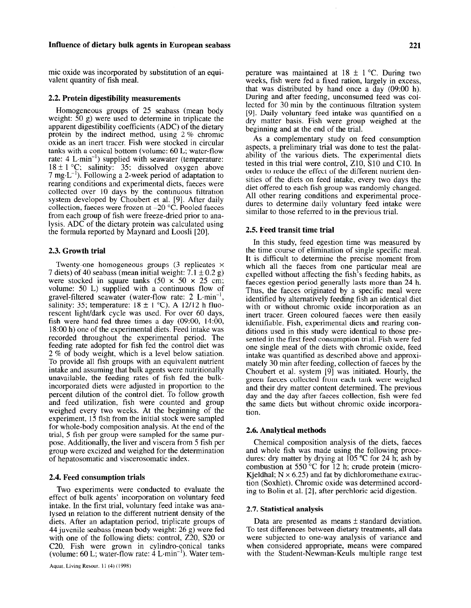### Influence of dietary bulk agents in European seabass 221

mic oxide was incorporated by substitution of an equivalent quantity of fish meal.

### 2.2. Protein digestibility measurements

Homogeneous groups of 25 seabass (mean body weight: 50 g) were used to determine in triplicate the apparent digestibility coefficients (ADC) of the dietary protein by the indirect method, using 2 % chromic oxide as an inert tracer. Fish were stocked in circular tanks with a conical bottom (volume: 60 L; water-flow rate:  $4 \text{ L-min}^{-1}$ ) supplied with seawater (temperature:  $18 \pm 1$  °C; salinity: 35; dissolved oxygen above 7 mg $L^{-1}$ ). Following a 2-week period of adaptation to rearing conditions and experimental diets, faeces were collected over 10 days by the continuous filtration system developed by Choubert et al. [9]. After daily collection, faeces were frozen at  $-20$  °C. Pooled faeces from each group of fish were freeze-dried prior to analysis. ADC of the dietary protein was calculated using the formula reported by Maynard and Loosli [20].

### 2.3. Growth trial

Twenty-one homogeneous groups  $(3$  replicates  $\times$ 7 diets) of 40 seabass (mean initial weight:  $7.1 \pm 0.2$  g) were stocked in square tanks  $(50 \times 50 \times 25 \text{ cm})$ ; volume: 50 L) supplied with a continuous flow of gravel-filtered seawater (water-flow rate:  $2 \text{ L-min}^{-1}$ , salinity: 35; temperature:  $18 \pm 1$  °C). A 12/12 h fluorescent light/dark cycle was used. For over 60 days, fish were hand-fed three times a day (09:00, 14:00, 18:00 h) one of the experimental diets. Feed intake was recorded throughout the experimental period. The feeding rate adopted for fish fed the control diet was 2 % of body weight, which is a level below satiation. To provide all fish groups with an equivalent nutrient intake and assuming that bulk agents were nutritionally unavailable, the feeding rates of fish fed the bulkincorporated diets were adjusted in proportion to the percent dilution of the control diet. To follow growth and feed utilization, fish were counted and group weighed every two weeks. At the beginning of the experiment, 15 fish from the initial stock were sampled for whole-body composition analysis. At the end of the trial, 5 fish per group were sampled for the same purpose. Additionally, the liver and viscera from 5 fish per group were excized and weighed for the determination of hepatosomatic and viscerosomatic index.

### 2.4. Feed consumption trials

Two experiments were conducted to evaluate the effect of bulk agents' incorporation on voluntary feed intake. In the first trial, voluntary feed intake was analysed in relation to the different nutrient density of the diets. After an adaptation period, triplicate groups of 44 juvenile seabass (mean body weight: 26 g) were fed  $\frac{1}{2}$ with one of the following distance of the  $\frac{1}{2}$ with one of the following ulets, control,  $\omega_{\text{av}}$ ,  $\omega_{\text{av}}$ C20. Fish were grown in cylindro-conical tanks (volume: 60 L; water-flow rate: 4 L-min<sup>-1</sup>). Water temperature was maintained at  $18 \pm 1$  °C. During two weeks, fish were fed a fixed ration, largely in excess, that was distributed by hand once a day (09:OO h). During and after feeding, unconsumed feed was collected for 30 min by the continuous filtration system [9]. Daily voluntary feed intake was quantified on a dry matter basis. Fish were group weighed at the beginning and at the end of the trial.

As a complementary study on feed consumption aspects, a preliminary trial was done to test the palatability of the various diets. The experimental diets tested in this trial were control, ZlO, SlO and ClO. In order to reduce the effect of the different nutrient densities of the diets on feed intake, every two days the diet offered to each fish group was randomly changed. All other rearing conditions and experimental procedures to determine daily voluntary feed intake were similar to those referred to in the previous trial.

#### 2.5. Feed transit time trial

In this study, feed egestion time was measured by the time course of elimination of single specific meal. It is difficult to determine the precise moment from which all the faeces from one particular meal are expelled without affecting the fish's feeding habits, as faeces egestion period generally lasts more than 24 h. Thus, the faeces originated by a specific meal were identified by alternatively feeding fish an identical diet with or without chromic oxide incorporation as an inert tracer. Green coloured faeces were then easily identifiable. Fish, experimental diets and rearing conditions used in this study were identical to those presented in the first feed consumption trial. Fish were fed one single meal of the diets with chromic oxide, feed intake was quantified as described above and approximately 30 min after feeding, collection of faeces by the Choubert et al. system [9] was initiated. Hourly, the green faeces collected from each tank were weighed and their dry matter content determined. The previous day and the day after faeces collection, fish were fed the same diets but without chromic oxide incorporation.

### 2.6. Analytical methods

Chemical composition analysis of the diets, faeces and whole fish was made using the following procedures: dry matter by drying at  $105^{\circ}$ C for 24 h; ash by combustion at 550  $^{\circ}$ C for 12 h; crude protein (micro-Kjeldhal;  $N \times 6.25$ ) and fat by dichloromethane extraction (Soxhlet). Chromic oxide was determined according to Bolin et al. [2], after perchloric acid digestion.

#### 2.7. Statistical analysis

Data are presented as means  $\pm$  standard deviation. To test differences between dietary treatments, all data were directled to operation of *wallenge* and analysis of variance and were subjected to one-way analysis of variance and when considered appropriate, means were compared with the Student-Newman-Keuls multiple range test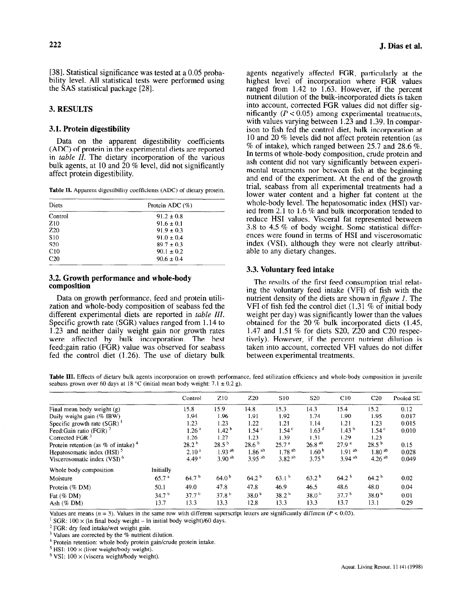[38]. Statistical significance was tested at a 0.05 probability level. All statistical tests were performed using the SAS statistical package [28].

# 3. RESULTS

### 3.1. Protein digestibility

Data on the apparent digestibility coefficients (ADC) of protein in the experimental diets are reported in table  $II$ . The dietary incorporation of the various bulk agents, at 10 and  $20\%$  level, did not significantly affect protein digestibility.

Table II. Apparent digestibility coefficients (ADC) of dietary protein.

| Diets           | Protein ADC $(\%)$ |  |  |  |  |  |
|-----------------|--------------------|--|--|--|--|--|
| Control         | $91.2 \pm 0.8$     |  |  |  |  |  |
| Z <sub>10</sub> | $91.6 \pm 0.1$     |  |  |  |  |  |
| Z <sub>20</sub> | $91.9 \pm 0.3$     |  |  |  |  |  |
| S <sub>10</sub> | $91.0 \pm 0.4$     |  |  |  |  |  |
| S <sub>20</sub> | $89.7 \pm 0.3$     |  |  |  |  |  |
| C10             | $90.1 \pm 0.2$     |  |  |  |  |  |
| C <sub>20</sub> | $90.6 \pm 0.4$     |  |  |  |  |  |

## 3.2. Growth performance and whole-body composition

Data on growth performance, feed and protein utilization and whole-body composition of seabass fed the different experimental diets are reported in *table III*. Specific growth rate (SGR) values ranged from 1.14 to 1.23 and neither daily weight gain nor growth rates were affected by bulk incorporation. The best feed:gain ratio (FGR) value was observed for seabass fed the control diet (1.26). The use of dietary bulk

agents negatively affected FGR, particularly at the highest level of incorporation where FGR values ranged from 1.42 to 1.63. However, if the percent nutrient dilution of the bulk-incorporated diets is taken into account, corrected FGR values did not differ significantly  $(P < 0.05)$  among experimental treatments, with values varying between 1.23 and 1.39. In comparison to fish fed the control diet, bulk incorporation at 10 and 20 % levels did not affect protein retention (as  $\%$  of intake), which ranged between 25.7 and 28.6  $\%$ . In terms of whole-body composition, crude protein and ash content did not vary significantly between experimental treatments nor between fish at the beginning and end of the experiment. At the end of the growth trial, seabass from all experimental treatments had a lower water content and a higher fat content at the whole-body level. The hepatosomatic index (HSI) varied from 2.1 to 1.6 % and bulk incorporation tended to reduce HSI values. Visceral fat represented between 3.8 to 4.5 % of body weight. Some statistical differences were found in terms of HSI and viscerosomatic index (VSI), although they were not clearly attributable to any dietary changes.

## 3.3. Voluntary feed intake

The results of the first feed consumption trial relating the voluntary feed intake (VFI) of fish with the nutrient density of the diets are shown in  $figure\ I$ . The VFI of fish fed the control diet  $(1.31 \% \text{ of initial body})$ weight per day) was significantly lower than the values obtained for the 20  $\%$  bulk incorporated diets (1.45, 1.47 and 1.51 % for diets S20, 220 and C20 respectively). However, if the percent nutrient dilution is taken into account, corrected VFI values do not differ between experimental treatments.

Table III. Effects of dietary bulk agents incorporation on growth performance, feed utilization efficiency and whole-body composition in juvenile seabass grown over 60 days at 18 °C (initial mean body weight:  $7.1 \pm 0.2$  g).

|                                                   |                   | Control           | Z <sub>10</sub>      | Z <sub>20</sub>   | S10               | S <sub>20</sub>      | C10                  | C20               | Pooled SE |
|---------------------------------------------------|-------------------|-------------------|----------------------|-------------------|-------------------|----------------------|----------------------|-------------------|-----------|
| Final mean body weight (g)                        | 15.8              | 15.9              | 14,8                 | 15.3              | 14.3              | 15.4                 | 15.2                 | 0.12              |           |
| Daily weight gain (% IBW)                         |                   | 1.94              | 1.96                 | 1.91              | 1.92              | 1.74                 | 1.90                 | 1.95              | 0.017     |
| Specific growth rate (SGR)                        |                   | 1.23              | 1.23                 | 1.22              | 1.21              | 1.14                 | 1.21                 | 1.23              | 0.015     |
| Feed:Gain ratio (FGR) $^2$                        | 1.26 <sup>a</sup> | 1.42 <sup>b</sup> | $1.54$ <sup>c</sup>  | 1.54 <sup>c</sup> | 1.63 <sup>d</sup> | 1.43 <sup>b</sup>    | 1.54 <sup>c</sup>    | 0.010             |           |
| Corrected FGR $3$                                 |                   | 1.26              | 1.27                 | 1.23              | 1.39              | 1.31                 | 1.29                 | 1.23              |           |
| Protein retention (as $%$ of intake) <sup>4</sup> | 28.2 <sup>b</sup> | $28.5^{b}$        | 28.6 <sup>b</sup>    | 25.7 <sup>a</sup> | $26.8^{ab}$       | 27.9 <sup>a</sup>    | 28.5 <sup>b</sup>    | 0.15              |           |
| Hepatosomatic index (HSI) <sup>5</sup>            | 2.10 <sup>a</sup> | $1.93^{ab}$       | $1.86$ <sup>ab</sup> | $1.78^{ab}$       | 1.60 <sup>o</sup> | $1.91$ <sup>ab</sup> | $1.80^{ab}$          | 0.028             |           |
| Viscerosomatic index $(VSI)$ <sup>6</sup>         |                   | 4.49 <sup>a</sup> | $3.90^{ab}$          | $3.95^{ab}$       | $3.82^{ab}$       | 3.75 <sup>b</sup>    | $3.94$ <sup>ab</sup> | $4.26^{ab}$       | 0.049     |
| Whole body composition                            | Initially         |                   |                      |                   |                   |                      |                      |                   |           |
| Moisture                                          | 65.7 <sup>a</sup> | 64.7 <sup>b</sup> | 64.0 <sup>b</sup>    | $64.2^{b}$        | 63.1 <sup>b</sup> | 63.2 <sup>b</sup>    | 64.2 <sup>b</sup>    | 64.2 <sup>b</sup> | 0.02      |
| Protein (% DM)                                    | 50.1              | 49.0              | 47.8                 | 47.8              | 46.9              | 46.5                 | 48.6                 | 48.0              | 0.04      |
| Fat $(\%$ DM)                                     | 34.7 <sup>b</sup> | 37.7 <sup>b</sup> | 37.8 <sup>b</sup>    | 38.0 <sup>b</sup> | 38.2 <sup>b</sup> | 38.0 <sup>b</sup>    | 37.7 <sup>b</sup>    | 38.0 <sup>b</sup> | 0.01      |
| Ash $(\%$ DM)                                     | 13.7              | 13.3              | 13.3                 | 12.8              | 13.3              | 13.3                 | 13.7                 | 13.1              | 0.29      |

Values are means ( $n = 3$ ). Values in the same row with different superscript letters are significantly different ( $P < 0.05$ ). values are incans  $(n - 3)$ , values in the same fow while directent super

 $20R$ :  $100 \times (10 \text{ m})$  drow weight  $-$  in

<sup>2</sup> FGR: dry feed intake/wet weight gain.<br><sup>3</sup> Values are corrected by the % nutrient dilution.  $\frac{1}{4}$  values are corrected by the  $\infty$  hument different.

 $\frac{1}{2}$  Howin return body where  $\frac{1}{2}$ 

<sup>5</sup> HSI:  $100 \times$  (liver weight/body weight).<br><sup>6</sup> VSI:  $100 \times$  (viscera weight/body weight).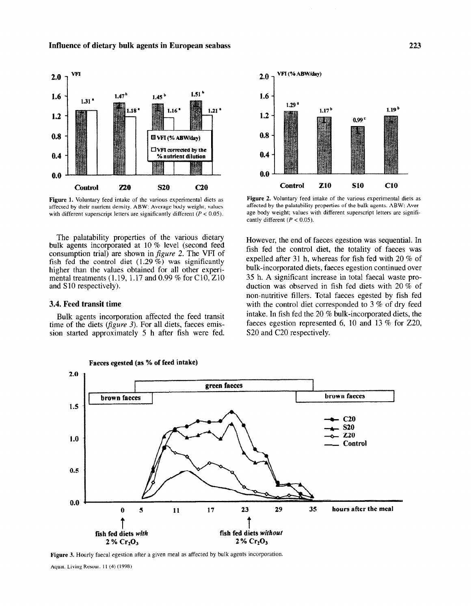

Figure 1. Voluntary feed intake of the various experimental diets as affected by their nutrient density. ABW: Average body weight; values with different superscript letters are significantly different ( $P < 0.05$ ).

The palatability properties of the various dietary bulk agents incorporated at 10 % level (second feed consumption trial) are shown in  $figure\ 2$ . The VFI of fish fed the control diet  $(1.29\%)$  was significantly higher than the values obtained for all other experimental treatments (1.19, 1.17 and 0.99 % for C10,  $Z10$ and S<sub>10</sub> respectively).

### 3.4. Feed transit time

Bulk agents incorporation affected the feed transit time of the diets (*figure 3*). For all diets, faeces emission started approximately 5 h after fish were fed.



Figure 2. Voluntary feed intake of the various experimental diets as affected by the palatability properties of the bulk agents. ABW: Average body weight; values with different superscript letters are significantly different  $(P < 0.05)$ .

However, the end of faeces egestion was sequential. In fish fed the control diet, the totality of faeces was expelled after 31 h, whereas for fish fed with 20 % of bulk-incorporated diets, faeces egestion continued over 35 h. A significant increase in total faecal waste production was observed in fish fed diets with 20 % of non-nutritive fillers. Total faeces egested by fish fed with the control diet corresponded to 3 % of dry feed intake. In fish fed the 20 % bulk-incorporated diets, the faeces egestion represented 6, 10 and 13 % for 220, S20 and C20 respectively.



Figure 3. Hourly faecal egestion after a given meal as affected by bulk agents incorporation.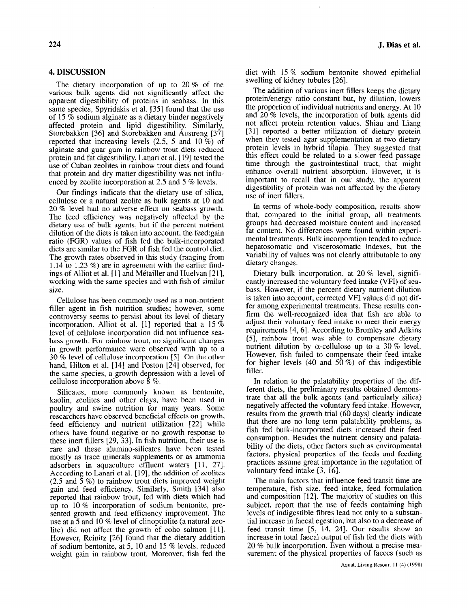# 4. DISCUSSION

The dietary incorporation of up to 20 % of the various bulk agents did not significantly affect the apparent digestibility of proteins in seabass. In this same species, Spyridakis et al. [35] found that the use of 15 % sodium alginate as a dietary binder negatively affected protein and lipid digestibility. Similarly, Storebakken [36] and Storebakken and Austreng [37] reported that increasing levels (2.5, 5 and 10 %) of alginate and guar gum in rainbow trout diets reduced protein and fat digestibility. Lanari et al. [ 191 tested the use of Cuban zeolites in rainbow trout diets and found that protein and dry matter digestibility was not influenced by zeolite incorporation at 2.5 and 5 % levels.

Our findings indicate that the dietary use of silica, cellulose or a natural zeolite as bulk agents at 10 and 20 % level had no adverse effect on seabass growth. The feed efficiency was negatively affected by the dietary use of bulk agents, but if the percent nutrient dilution of the diets is taken into account, the feed:gain ratio (FGR) values of fish fed the bulk-incorporated diets are similar to the FGR of fish fed the control diet. The growth rates observed in this study (ranging from 1.14 to 1.23 %) are in agreement with the earlier findings of Alliot et al.  $[1]$  and Métailler and Huelvan  $[21]$ , working with the same species and with fish of similar size.

Cellulose has been commonly used as a non-nutrient filler agent in fish nutrition studies; however, some controversy seems to persist about its level of dietary incorporation. Alliot et al. [1] reported that a 15  $\%$ level of cellulose incorporation did not influence seabass growth. For rainbow trout, no significant changes in growth performance were observed with up to a 30 % level of cellulose incorporation [5]. On the other hand, Hilton et al. [14] and Poston [24] observed, for the same species, a growth depression with a level of cellulose incorporation above  $\dot{8}$  %.

Silicates, more commonly known as bentonite, kaolin, zeolites and other clays, have been used in poultry and swine nutrition for many years. Some researchers have observed beneficial effects on growth, feed efficiency and nutrient utilization [22] while others have found negative or no growth response to these inert fillers [29, 33]. In fish nutrition, their use is rare and these alumino-silicates have been tested mostly as trace minerals supplements or as ammonia adsorbers in aquaculture effluent waters [11, 27]. According to Lanari et al. [19], the addition of zeolites (2.5 and  $\overline{5}$  %) to rainbow trout diets improved weight gain and feed efficiency. Similarly, Smith [34] also reported that rainbow trout, fed with diets which had up to 10 % incorporation of sodium bentonite, presented growth and feed efficiency improvement. The sence grown and rece emerging improvement. The use at a 5 and 10 % level of clinoptiolite (a natural zeolite) did not affect the growth of coho salmon [11].  $\mathbf{R}$  and  $\mathbf{R}$  is  $\mathbf{R}$  for  $\mathbf{R}$  found that the distance addition  $\frac{1}{2}$  solid beneficial beneficial beneficial beneficial beneficial beneficial beneficial beneficial beneficial beneficial beneficial beneficial beneficial beneficial beneficial beneficial beneficial beneficial benefic of sodium bentonite, at 5, 10 and 15  $%$  levels, reduced weight gain in rainbow trout. Moreover, fish fed the diet with 15 % sodium bentonite showed epithelial swelling of kidney tubules [26].

The addition of various inert fillers keeps the dietary protein/energy ratio constant but, by dilution, lowers the proportion of individual nutrients and energy. At 10 and 20 % levels, the incorporation of bulk agents did not affect protein retention values. Shiau and Liang [31] reported a better utilization of dietary protein when they tested agar supplementation at two dietary protein levels in hybrid tilapia. They suggested that this effect could be related to a slower feed passage time through the gastrointestinal tract, that might enhance overall nutrient absorption. However, it is important to recall that in our study, the apparent digestibility of protein was not affected by the dietary use of inert fillers.

In terms of whole-body composition, results show that, compared to the initial group, all treatments groups had decreased moisture content and increased fat content. No differences were found within experimental treatments. Bulk incorporation tended to reduce hepatosomatic and viscerosomatic indexes, but the variability of values was not clearly attributable to any dietary changes.

Dietary bulk incorporation, at 20 % level, significantly increased the voluntary feed intake (VFI) of seabass. However, if the percent dietary nutrient dilution is taken into account, corrected VFI values did not differ among experimental treatments. These results confirm the well-recognized idea that fish are able to adjust their voluntary feed intake to meet their energy requirements [4,6]. According to Bromley and Adkins [5], rainbow trout was able to compensate dietary nutrient dilution by  $\alpha$ -cellulose up to a 30 % level. However, fish failed to compensate their feed intake for higher levels  $(40 \text{ and } 50\%)$  of this indigestible filler.

In relation to the palatability properties of the different diets, the preliminary results obtained demonstrate that all the bulk agents (and particularly silica) negatively affected the voluntary feed intake. However, results from the growth trial (60 days) clearly indicate that there are no long term palatability problems, as fish fed bulk-incorporated diets increased their feed consumption. Besides the nutrient density and palatability of the diets, other factors such as environmental factors, physical properties of the feeds and feeding practices assume great importance in the regulation of voluntary feed intake [3, 16].

The main factors that influence feed transit time are temperature, fish size, feed intake, feed formulation and composition [12]. The majority of studies on this subject, report that the use of feeds containing high levels of indigestible fibres lead not only to a substantial increase in faecal egestion, but also to a decrease of feed transit time [5, 14, 241. Our results show an increase in total faecal output of fish fed the diets with 20 % bulk incorporation. Even without a precise measurement of the physical properties of faeces (such as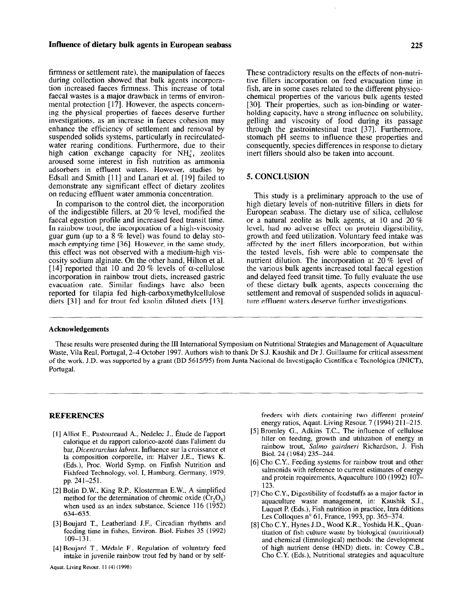#### Influence of dietary bulk agents in European seabass 225

firmness or settlement rate), the manipulation of faeces during collection showed that bulk agents incorporation increased faeces firmness. This increase of total faecal wastes is a major drawback in terms of environmental protection [17]. However, the aspects conceming the physical properties of faeces deserve further investigations, as an increase in faeces cohesion may enhance the efficiency of settlement and removal by suspended solids systems, particularly in recirculatedwater rearing conditions. Furthermore, due to their high cation exchange capacity for  $NH<sub>4</sub>$ , zeolites aroused some interest in fish nutrition as ammonia adsorbers in effluent waters. However, studies by Edsall and Smith [11] and Lanari et al. [19] failed to demonstrate any significant effect of dietary zeolites on reducing effluent water ammonia concentration.

In comparison to the control diet, the incorporation of the indigestible fillers, at 20 % level, modified the faecal egestion profile and increased feed transit time. In rainbow trout, the incorporation of a high-viscosity guar gum (up to a 8 % level) was found to delay stomach emptying time [36]. However, in the same study, this effect was not observed with a medium-high viscosity sodium alginate. On the other hand, Hilton et al. [14] reported that 10 and 20 % levels of  $\alpha$ -cellulose incorporation in rainbow trout diets, increased gastric evacuation rate. Similar findings have also been reported for tilapia fed high-carboxymethylcellulose diets [31] and for trout fed kaolin diluted diets [13]. These contradictory results on the effects of non-nutritive fillers incorporation on feed evacuation time in fish, are in some cases related to the different physicochemical properties of the various bulk agents tested [30]. Their properties, such as ion-binding or waterholding capacity, have a strong influence on solubility, gelling and viscosity of food during its passage through the gastrointestinal tract [37]. Furthermore, stomach pH seems to influence these properties and consequently, species differences in response to dietary inert fillers should also be taken into account.

# 5. CONCLUSION

This study is a preliminary approach to the use of high dietary levels of non-nutritive fillers in diets for European seabass. The dietary use of silica, cellulose or a natural zeolite as bulk agents, at 10 and 20 % level, had no adverse effect on protein digestibility, growth and feed utilization. Voluntary feed intake was affected by the inert fillers incorporation, but within the tested levels, fish were able to compensate the nutrient dilution. The incorporation at 20 % level of the various bulk agents increased total faecal egestion and delayed feed transit time. To fully evaluate the use of these dietary bulk agents, aspects concerning the settlement and removal of suspended solids in aquaculture effluent waters deserve further investigations.

### Acknowledgements

These results were presented during the III International Symposium on Nutritional Strategies and Management of Aquaculture Waste, Vila Real, Portugal, 2-4 October 1997. Authors wish to thank Dr S.J. Kaushik and Dr J. Guillaume for critical assessment of the work. J.D. was supported by a grant (BD 5615/95) from Junta Nacional de Investigação Científica e Tecnológica (JNICT), Portugal.

# **REFERENCES**

- $\begin{bmatrix} 1 & 0 & 0 \\ 0 & 0 & 0 \end{bmatrix}$  $\alpha$ lori $c_n$ , i asioureadu  $\alpha$ , redefici $\alpha$ , istude de l'apport calorique et du rapport calorico-azoté dans l'aliment du bar, Dicentrarchus labrax. Influence sur la croissance et la composition corporelle, in: Halver J.E., Tiews K. (Eds.), Proc. World Symp. on Finfish Nutrition and Fishfeed Technology, vol. I, Hamburg, Germany, 1979, pp. 241-251.
- $[2]$   $[2]$   $B$   $B$   $B$   $C$   $D$   $D$ ,  $E$ <sub>1</sub>,  $E$   $E$   $E$   $A$ ,  $A$  simplified Bolin D.W., King R.P., Klosterman E.W., A simplified method for the determination of chromic oxide  $(Cr_2O_3)$ when used as an index substance, Science 116 ( $1\overline{9}5\overline{2}$ ) 634–635.  $\frac{3.5}{2}$  bound T. Leatherland J.F., Circadian rhythms and  $\frac{3.5}{2}$
- Boujard T., Leatherland J.F., Circadian rhythms and feeding time in fishes, Environ. Biol. Fishes 35 (1992) 109-131.  $\frac{109 - 131}{900}$
- Boujard T., Médale F., Regulation of voluntary feed

feeders with diets containing two different protein/ reeders with diets containing two different proteins. energy ratios, Aquat. Living Resour.  $7(1994)$  211-215.

- [5] Bromley G., Adkins T.C., The influence of cellulose filler on feeding, growth and utilization of energy in rainbow trout, Salmo gairdneri Richardson, J. Fish Biol. 24 (1984) 235-244.  $[6]$  BIOI, 24 (1984) 233–244.<br>Feeding Strutters for rainbow trout and other
- $\mathcal{L}$  ho  $\mathcal{L}$ . Feeding systems for rainbow trout and other salmonids with reference to current estimates of energy and protein requirements, Aquaculture 100 (1992) 107-123.  $\frac{123.}{120.6}$
- Cho C.Y., Digestibility of feedstuffs as a major factor in $\tilde{K}$ aquaculture waste management, in: Kaushik S.J., Luquet P. (Eds.), Fish nutrition in practice, Inra éditions Les Colloques n° 61, France, 1993, pp. 365–374.
- [8] Cho C.Y., Hynes J.D., Wood K.R., Yoshida H.K., Quantitation of fish culture waste by biological (nutritional) and chemical (limnological) methods: the development of high nutrient dense (HND) diets, in: Cowey C.B., Cho C.Y. (Eds.), Nutritional strategies and aquaculture